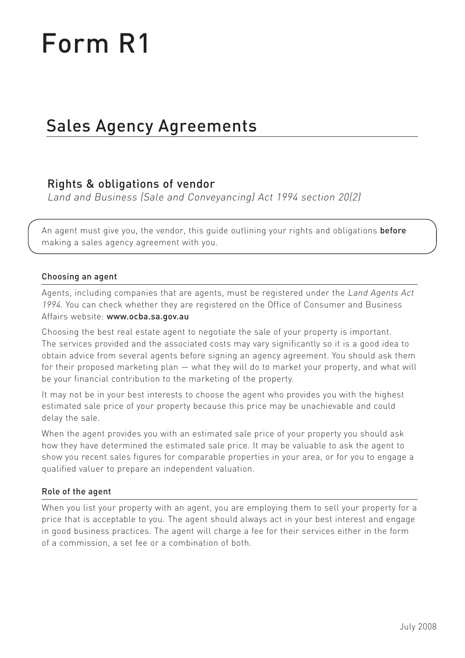# Form R1

# Sales Agency Agreements

## Rights & obligations of vendor

Land and Business (Sale and Conveyancing) Act 1994 section 20(2)

An agent must give you, the vendor, this guide outlining your rights and obligations **before** making a sales agency agreement with you.

#### Choosing an agent

Agents, including companies that are agents, must be registered under the Land Agents Act 1994. You can check whether they are registered on the Office of Consumer and Business Affairs website: www.ocba.sa.gov.au

Choosing the best real estate agent to negotiate the sale of your property is important. The services provided and the associated costs may vary significantly so it is a good idea to obtain advice from several agents before signing an agency agreement. You should ask them for their proposed marketing plan — what they will do to market your property, and what will be your financial contribution to the marketing of the property.

It may not be in your best interests to choose the agent who provides you with the highest estimated sale price of your property because this price may be unachievable and could delay the sale.

When the agent provides you with an estimated sale price of your property you should ask how they have determined the estimated sale price. It may be valuable to ask the agent to show you recent sales figures for comparable properties in your area, or for you to engage a qualified valuer to prepare an independent valuation.

#### Role of the agent

When you list your property with an agent, you are employing them to sell your property for a price that is acceptable to you. The agent should always act in your best interest and engage in good business practices. The agent will charge a fee for their services either in the form of a commission, a set fee or a combination of both.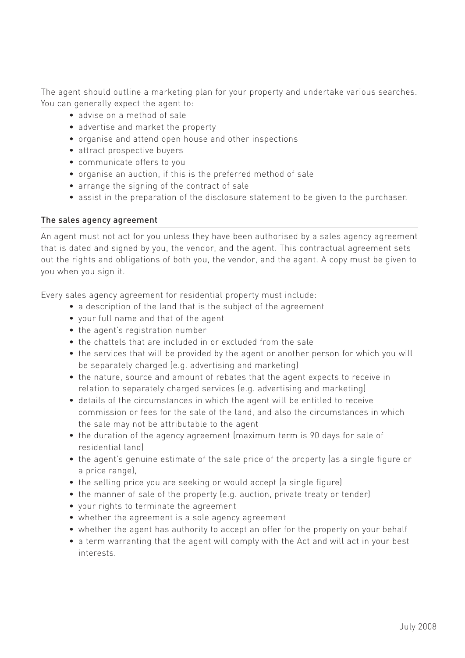The agent should outline a marketing plan for your property and undertake various searches. You can generally expect the agent to:

- advise on a method of sale
- advertise and market the property
- organise and attend open house and other inspections
- attract prospective buyers
- communicate offers to you
- organise an auction, if this is the preferred method of sale
- arrange the signing of the contract of sale
- assist in the preparation of the disclosure statement to be given to the purchaser.

#### The sales agency agreement

An agent must not act for you unless they have been authorised by a sales agency agreement that is dated and signed by you, the vendor, and the agent. This contractual agreement sets out the rights and obligations of both you, the vendor, and the agent. A copy must be given to you when you sign it.

Every sales agency agreement for residential property must include:

- a description of the land that is the subject of the agreement
- your full name and that of the agent
- the agent's registration number
- the chattels that are included in or excluded from the sale
- the services that will be provided by the agent or another person for which you will be separately charged (e.g. advertising and marketing)
- the nature, source and amount of rebates that the agent expects to receive in relation to separately charged services (e.g. advertising and marketing)
- details of the circumstances in which the agent will be entitled to receive commission or fees for the sale of the land, and also the circumstances in which the sale may not be attributable to the agent
- the duration of the agency agreement (maximum term is 90 days for sale of residential land)
- the agent's genuine estimate of the sale price of the property (as a single figure or a price range),
- the selling price you are seeking or would accept (a single figure)
- the manner of sale of the property (e.g. auction, private treaty or tender)
- your rights to terminate the agreement
- whether the agreement is a sole agency agreement
- whether the agent has authority to accept an offer for the property on your behalf
- a term warranting that the agent will comply with the Act and will act in your best interests.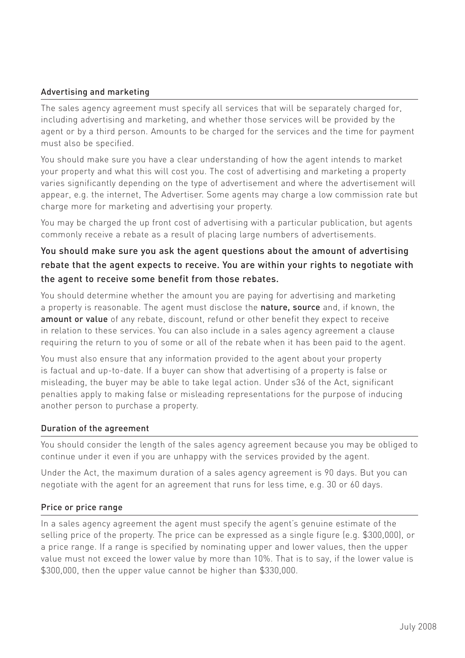#### Advertising and marketing

The sales agency agreement must specify all services that will be separately charged for, including advertising and marketing, and whether those services will be provided by the agent or by a third person. Amounts to be charged for the services and the time for payment must also be specified.

You should make sure you have a clear understanding of how the agent intends to market your property and what this will cost you. The cost of advertising and marketing a property varies significantly depending on the type of advertisement and where the advertisement will appear, e.g. the internet, The Advertiser. Some agents may charge a low commission rate but charge more for marketing and advertising your property.

You may be charged the up front cost of advertising with a particular publication, but agents commonly receive a rebate as a result of placing large numbers of advertisements.

### You should make sure you ask the agent questions about the amount of advertising rebate that the agent expects to receive. You are within your rights to negotiate with the agent to receive some benefit from those rebates.

You should determine whether the amount you are paying for advertising and marketing a property is reasonable. The agent must disclose the nature, source and, if known, the amount or value of any rebate, discount, refund or other benefit they expect to receive in relation to these services. You can also include in a sales agency agreement a clause requiring the return to you of some or all of the rebate when it has been paid to the agent.

You must also ensure that any information provided to the agent about your property is factual and up-to-date. If a buyer can show that advertising of a property is false or misleading, the buyer may be able to take legal action. Under s36 of the Act, significant penalties apply to making false or misleading representations for the purpose of inducing another person to purchase a property.

#### Duration of the agreement

You should consider the length of the sales agency agreement because you may be obliged to continue under it even if you are unhappy with the services provided by the agent.

Under the Act, the maximum duration of a sales agency agreement is 90 days. But you can negotiate with the agent for an agreement that runs for less time, e.g. 30 or 60 days.

#### Price or price range

In a sales agency agreement the agent must specify the agent's genuine estimate of the selling price of the property. The price can be expressed as a single figure (e.g. \$300,000), or a price range. If a range is specified by nominating upper and lower values, then the upper value must not exceed the lower value by more than 10%. That is to say, if the lower value is \$300,000, then the upper value cannot be higher than \$330,000.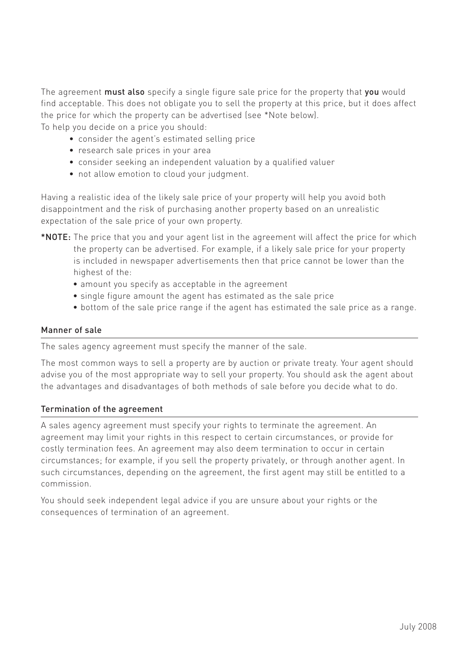The agreement **must also** specify a single figure sale price for the property that **you** would find acceptable. This does not obligate you to sell the property at this price, but it does affect the price for which the property can be advertised (see \*Note below).

To help you decide on a price you should:

- consider the agent's estimated selling price
- research sale prices in your area
- consider seeking an independent valuation by a qualified valuer
- not allow emotion to cloud your judgment.

Having a realistic idea of the likely sale price of your property will help you avoid both disappointment and the risk of purchasing another property based on an unrealistic expectation of the sale price of your own property.

- \*NOTE: The price that you and your agent list in the agreement will affect the price for which the property can be advertised. For example, if a likely sale price for your property is included in newspaper advertisements then that price cannot be lower than the highest of the:
	- amount you specify as acceptable in the agreement
	- single figure amount the agent has estimated as the sale price
	- bottom of the sale price range if the agent has estimated the sale price as a range.

#### Manner of sale

The sales agency agreement must specify the manner of the sale.

The most common ways to sell a property are by auction or private treaty. Your agent should advise you of the most appropriate way to sell your property. You should ask the agent about the advantages and disadvantages of both methods of sale before you decide what to do.

#### Termination of the agreement

A sales agency agreement must specify your rights to terminate the agreement. An agreement may limit your rights in this respect to certain circumstances, or provide for costly termination fees. An agreement may also deem termination to occur in certain circumstances; for example, if you sell the property privately, or through another agent. In such circumstances, depending on the agreement, the first agent may still be entitled to a commission.

You should seek independent legal advice if you are unsure about your rights or the consequences of termination of an agreement.